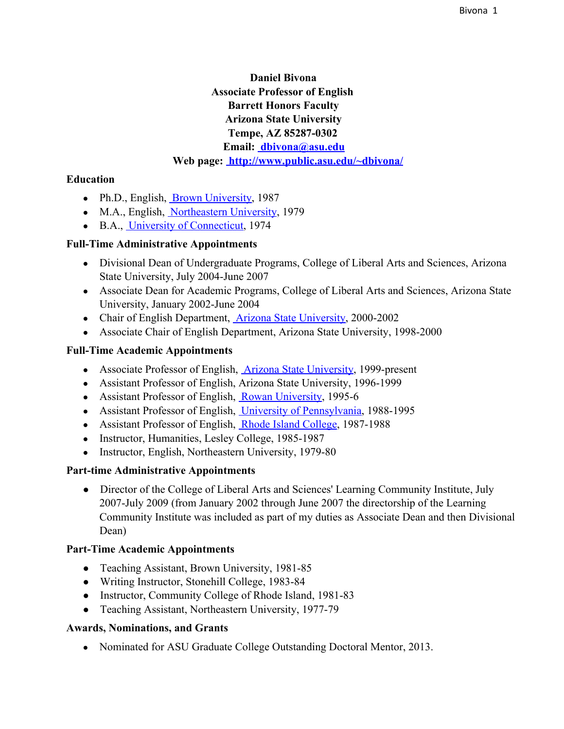# **Daniel Bivona Associate Professor of English Barrett Honors Faculty Arizona State University Tempe, AZ 85287-0302 Email: [dbivona@asu.edu](mailto:dbivona@asu.edu) Web page: [http://www.public.asu.edu/~dbivona/](http://www.google.com/url?q=http%3A%2F%2Fwww.public.asu.edu%2F%257Edbivona%2F&sa=D&sntz=1&usg=AFQjCNF7xJA8ZEKBV8wlOp2swCj4wmrw0A)**

#### **Education**

- Ph.D., English, Brown [University,](http://www.google.com/url?q=http%3A%2F%2Fwww.brown.edu%2F&sa=D&sntz=1&usg=AFQjCNGlHFwueacxk_vHrj0PCwm3l3kmlQ) 1987
- M.A., English, [Northeastern](http://www.google.com/url?q=http%3A%2F%2Fwww.neu.edu%2F&sa=D&sntz=1&usg=AFQjCNHieta-qpIe79lUojROFPnXM_FH5w) University, 1979
- B.A., University of [Connecticut,](http://www.google.com/url?q=http%3A%2F%2Fwww.uconn.edu%2F&sa=D&sntz=1&usg=AFQjCNGqATUCVc1bQ16BNLZLvtfIdNrUCg) 1974

#### **Full-Time Administrative Appointments**

- Divisional Dean of Undergraduate Programs, College of Liberal Arts and Sciences, Arizona State University, July 2004-June 2007
- Associate Dean for Academic Programs, College of Liberal Arts and Sciences, Arizona State University, January 2002-June 2004
- Chair of English Department, Arizona State [University,](http://www.google.com/url?q=http%3A%2F%2Fwww.asu.edu&sa=D&sntz=1&usg=AFQjCNFcEu5bYTd35HDCswB45IOyj-z0Tg) 2000-2002
- Associate Chair of English Department, Arizona State University, 1998-2000

### **Full-Time Academic Appointments**

- Associate Professor of English, Arizona State [University,](http://www.google.com/url?q=http%3A%2F%2Fwww.asu.edu%2F&sa=D&sntz=1&usg=AFQjCNHsXpUEN_HipPVE4P9383hkCJvpSw) 1999-present
- Assistant Professor of English, Arizona State University, 1996-1999
- Assistant Professor of English, Rowan [University,](http://www.google.com/url?q=http%3A%2F%2Fwww.rowan.edu%2F&sa=D&sntz=1&usg=AFQjCNHacXVBKaRBa9IVaraKir3wGxn8dg) 1995-6
- Assistant Professor of English, University of [Pennsylvania,](http://www.google.com/url?q=http%3A%2F%2Fwww.upenn.edu%2F&sa=D&sntz=1&usg=AFQjCNG37JcLNsqd9N7sftcN339zxMI77Q) 1988-1995
- Assistant Professor of English, Rhode Island [College,](http://www.google.com/url?q=http%3A%2F%2Fwww.ric.edu%2F&sa=D&sntz=1&usg=AFQjCNFIGcboh5PmSXtMARBncFyGB8qp9w) 1987-1988
- Instructor, Humanities, Lesley College, 1985-1987
- Instructor, English, Northeastern University, 1979-80

### **Part-time Administrative Appointments**

• Director of the College of Liberal Arts and Sciences' Learning Community Institute, July 2007-July 2009 (from January 2002 through June 2007 the directorship of the Learning Community Institute was included as part of my duties as Associate Dean and then Divisional Dean)

### **Part-Time Academic Appointments**

- Teaching Assistant, Brown University, 1981-85
- Writing Instructor, Stonehill College, 1983-84
- Instructor, Community College of Rhode Island, 1981-83
- Teaching Assistant, Northeastern University, 1977-79

### **Awards, Nominations, and Grants**

• Nominated for ASU Graduate College Outstanding Doctoral Mentor, 2013.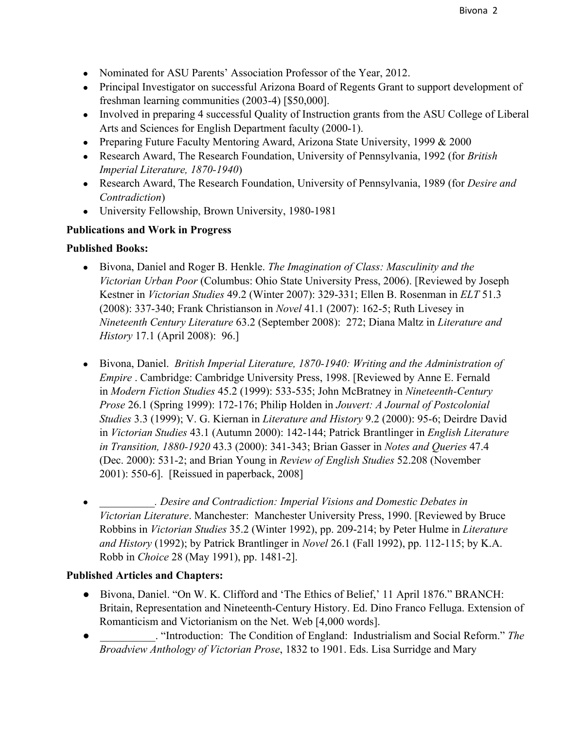- Nominated for ASU Parents' Association Professor of the Year, 2012.
- Principal Investigator on successful Arizona Board of Regents Grant to support development of freshman learning communities (2003-4) [\$50,000].
- Involved in preparing 4 successful Quality of Instruction grants from the ASU College of Liberal Arts and Sciences for English Department faculty (2000-1).
- Preparing Future Faculty Mentoring Award, Arizona State University, 1999 & 2000
- Research Award, The Research Foundation, University of Pennsylvania, 1992 (for *British Imperial Literature, 1870-1940*)
- Research Award, The Research Foundation, University of Pennsylvania, 1989 (for *Desire and Contradiction*)
- University Fellowship, Brown University, 1980-1981

### **Publications and Work in Progress**

### **Published Books:**

- Bivona, Daniel and Roger B. Henkle. *The Imagination of Class: Masculinity and the Victorian Urban Poor* (Columbus: Ohio State University Press, 2006). [Reviewed by Joseph Kestner in *Victorian Studies* 49.2 (Winter 2007): 329-331; Ellen B. Rosenman in *ELT* 51.3 (2008): 337340; Frank Christianson in *Novel* 41.1 (2007): 1625; Ruth Livesey in *Nineteenth Century Literature* 63.2 (September 2008): 272; Diana Maltz in *Literature and History* 17.1 (April 2008): 96.]
- Bivona, Daniel. *British Imperial Literature, 1870-1940: Writing and the Administration of Empire* . Cambridge: Cambridge University Press, 1998. [Reviewed by Anne E. Fernald in *Modern Fiction Studies* 45.2 (1999): 533-535; John McBratney in *Nineteenth-Century Prose* 26.1 (Spring 1999): 172176; Philip Holden in *Jouvert: A Journal of Postcolonial Studies* 3.3 (1999); V. G. Kiernan in *Literature and History* 9.2 (2000): 956; Deirdre David in *Victorian Studies* 43.1 (Autumn 2000): 142144; Patrick Brantlinger in *English Literature in Transition, 1880-1920* 43.3 (2000): 341-343; Brian Gasser in *Notes and Queries* 47.4 (Dec. 2000): 5312; and Brian Young in *Review of English Studies* 52.208 (November 2001): 550-6]. [Reissued in paperback, 2008].
- *\_\_\_\_\_\_\_\_\_\_. Desire and Contradiction: Imperial Visions and Domestic Debates in Victorian Literature*. Manchester: Manchester University Press, 1990. [Reviewed by Bruce Robbins in *Victorian Studies* 35.2 (Winter 1992), pp. 209214; by Peter Hulme in *Literature and History* (1992); by Patrick Brantlinger in *Novel* 26.1 (Fall 1992), pp. 112-115; by K.A. Robb in *Choice* 28 (May 1991), pp. 14812].

### **Published Articles and Chapters:**

- Bivona, Daniel. "On W. K. Clifford and 'The Ethics of Belief,' 11 April 1876." BRANCH: Britain, Representation and Nineteenth-Century History. Ed. Dino Franco Felluga. Extension of Romanticism and Victorianism on the Net. Web [4,000 words].
- . "Introduction: The Condition of England: Industrialism and Social Reform." *The Broadview Anthology of Victorian Prose*, 1832 to 1901. Eds. Lisa Surridge and Mary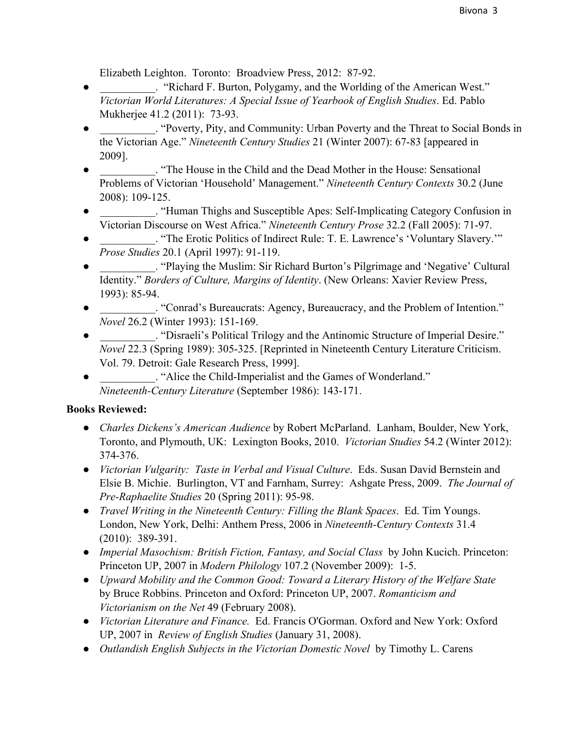Elizabeth Leighton. Toronto: Broadview Press, 2012: 87-92.

- The Eurier State of the American West." ("Richard F. Burton, Polygamy, and the Worlding of the American West." *Victorian World Literatures: A Special Issue of Yearbook of English Studies*. Ed. Pablo Mukherjee 41.2 (2011): 73-93.
- The extending eventy, Pity, and Community: Urban Poverty and the Threat to Social Bonds in the Victorian Age." *Nineteenth Century Studies* 21 (Winter 2007): 67-83 [appeared in 2009].
- . "The House in the Child and the Dead Mother in the House: Sensational Problems of Victorian 'Household' Management." *Nineteenth Century Contexts* 30.2 (June 2008): 109125.
- . "Human Thighs and Susceptible Apes: Self-Implicating Category Confusion in Victorian Discourse on West Africa." *Nineteenth Century Prose* 32.2 (Fall 2005): 71-97.
- . "The Erotic Politics of Indirect Rule: T. E. Lawrence's 'Voluntary Slavery.'" *Prose Studies* 20.1 (April 1997): 91-119.
- . "Playing the Muslim: Sir Richard Burton's Pilgrimage and 'Negative' Cultural Identity." *Borders of Culture, Margins of Identity*. (New Orleans: Xavier Review Press, 1993): 8594.
- . "Conrad's Bureaucrats: Agency, Bureaucracy, and the Problem of Intention." *Novel* 26.2 (Winter 1993): 151-169.
- . "Disraeli's Political Trilogy and the Antinomic Structure of Imperial Desire." *Novel* 22.3 (Spring 1989): 305-325. [Reprinted in Nineteenth Century Literature Criticism. Vol. 79. Detroit: Gale Research Press, 1999].
- The Child-Imperialist and the Games of Wonderland." *Nineteenth-Century Literature* (September 1986): 143-171.

# **Books Reviewed:**

- *● Charles Dickens's American Audience* by Robert McParland. Lanham, Boulder, New York, Toronto, and Plymouth, UK: Lexington Books, 2010. *Victorian Studies* 54.2 (Winter 2012): 374376.
- *● Victorian Vulgarity: Taste in Verbal and Visual Culture*. Eds. Susan David Bernstein and Elsie B. Michie. Burlington, VT and Farnham, Surrey: Ashgate Press, 2009. *The Journal of Pre-Raphaelite Studies* 20 (Spring 2011): 95-98.
- *● Travel Writing in the Nineteenth Century: Filling the Blank Spaces*. Ed. Tim Youngs. London, New York, Delhi: Anthem Press, 2006 in *Nineteenth-Century Contexts* 31.4  $(2010): 389-391.$
- *● Imperial Masochism: British Fiction, Fantasy, and Social Class* by John Kucich. Princeton: Princeton UP, 2007 in *Modern Philology* 107.2 (November 2009): 1-5.
- *● Upward Mobility and the Common Good: Toward a Literary History of the Welfare State* by Bruce Robbins. Princeton and Oxford: Princeton UP, 2007. *Romanticism and Victorianism on the Net* 49 (February 2008).
- *● Victorian Literature and Finance.* Ed. Francis O'Gorman. Oxford and New York: Oxford UP, 2007 in *Review of English Studies* (January 31, 2008).
- *● Outlandish English Subjects in the Victorian Domestic Novel* by Timothy L. Carens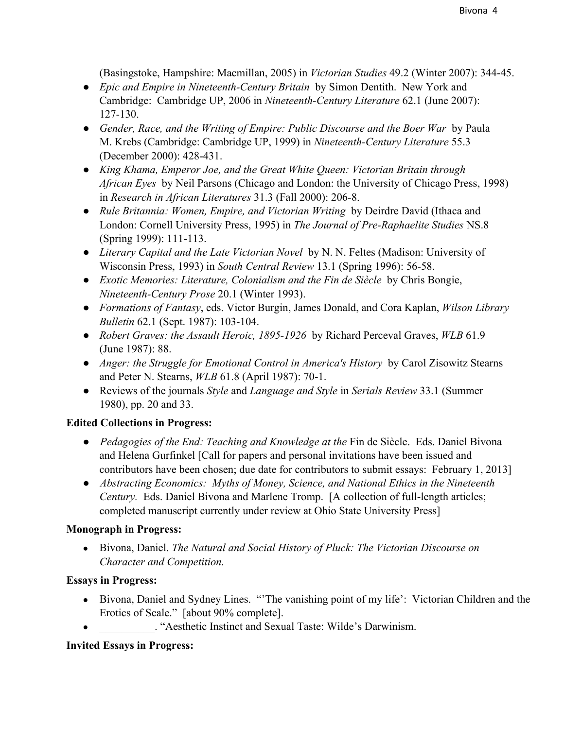(Basingstoke, Hampshire: Macmillan, 2005) in *Victorian Studies* 49.2 (Winter 2007): 34445.

- **•** *Epic and Empire in Nineteenth-Century Britain* by Simon Dentith. New York and Cambridge: Cambridge UP, 2006 in *Nineteenth-Century Literature* 62.1 (June 2007): 127130.
- *● Gender, Race, and the Writing of Empire: Public Discourse and the Boer War* by Paula M. Krebs (Cambridge: Cambridge UP, 1999) in *Nineteenth-Century Literature* 55.3 (December 2000): 428-431.
- *● King Khama, Emperor Joe, and the Great White Queen: Victorian Britain through African Eyes* by Neil Parsons (Chicago and London: the University of Chicago Press, 1998) in *Research in African Literatures* 31.3 (Fall 2000): 2068.
- *● Rule Britannia: Women, Empire, and Victorian Writing* by Deirdre David (Ithaca and London: Cornell University Press, 1995) in *The Journal of Pre-Raphaelite Studies* NS.8 (Spring 1999): 111-113.
- *● Literary Capital and the Late Victorian Novel* by N. N. Feltes (Madison: University of Wisconsin Press, 1993) in *South Central Review* 13.1 (Spring 1996): 56-58.
- *● Exotic Memories: Literature, Colonialism and the Fin de Siècle* by Chris Bongie, *NineteenthCentury Prose* 20.1 (Winter 1993).
- *● Formations of Fantasy*, eds. Victor Burgin, James Donald, and Cora Kaplan, *Wilson Library Bulletin* 62.1 (Sept. 1987): 103-104.
- *● Robert Graves: the Assault Heroic, 18951926* by Richard Perceval Graves, *WLB* 61.9 (June 1987): 88.
- *● Anger: the Struggle for Emotional Control in America's History* by Carol Zisowitz Stearns and Peter N. Stearns, *WLB* 61.8 (April 1987): 70-1.
- *●* Reviews of the journals *Style* and *Language and Style* in *Serials Review* 33.1 (Summer 1980), pp. 20 and 33.

# **Edited Collections in Progress:**

- *Pedagogies of the End: Teaching and Knowledge at the* Fin de Siècle. Eds. Daniel Bivona and Helena Gurfinkel [Call for papers and personal invitations have been issued and contributors have been chosen; due date for contributors to submit essays: February 1, 2013]
- *Abstracting Economics: Myths of Money, Science, and National Ethics in the Nineteenth Century.* Eds. Daniel Bivona and Marlene Tromp. [A collection of full-length articles; completed manuscript currently under review at Ohio State University Press]

# **Monograph in Progress:**

● Bivona, Daniel. *The Natural and Social History of Pluck: The Victorian Discourse on Character and Competition.*

# **Essays in Progress:**

- Bivona, Daniel and Sydney Lines. "The vanishing point of my life': Victorian Children and the Erotics of Scale." [about 90% complete].
- . "Aesthetic Instinct and Sexual Taste: Wilde's Darwinism.

# **Invited Essays in Progress:**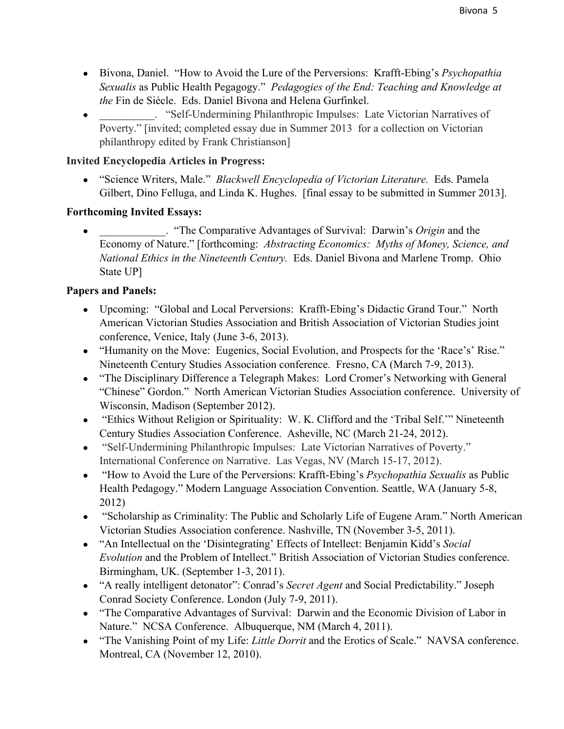- Bivona, Daniel. "How to Avoid the Lure of the Perversions: Krafft-Ebing's *Psychopathia Sexualis* as Public Health Pegagogy." *Pedagogies of the End: Teaching and Knowledge at the* Fin de Siècle. Eds. Daniel Bivona and Helena Gurfinkel.
- The Self-Undermining Philanthropic Impulses: Late Victorian Narratives of Poverty." [invited; completed essay due in Summer 2013 for a collection on Victorian philanthropy edited by Frank Christianson]

# **Invited Encyclopedia Articles in Progress:**

● "Science Writers, Male." *Blackwell Encyclopedia of Victorian Literature.* Eds. Pamela Gilbert, Dino Felluga, and Linda K. Hughes. [final essay to be submitted in Summer 2013].

# **Forthcoming Invited Essays:**

. "The Comparative Advantages of Survival: Darwin's *Origin* and the Economy of Nature." [forthcoming: *Abstracting Economics: Myths of Money, Science, and National Ethics in the Nineteenth Century.* Eds. Daniel Bivona and Marlene Tromp. Ohio State UP]

# **Papers and Panels:**

- Upcoming: "Global and Local Perversions: Krafft-Ebing's Didactic Grand Tour." North American Victorian Studies Association and British Association of Victorian Studies joint conference, Venice, Italy (June 3-6, 2013).
- "Humanity on the Move: Eugenics, Social Evolution, and Prospects for the 'Race's' Rise." Nineteenth Century Studies Association conference. Fresno, CA (March 7-9, 2013).
- "The Disciplinary Difference a Telegraph Makes: Lord Cromer's Networking with General "Chinese" Gordon." North American Victorian Studies Association conference. University of Wisconsin, Madison (September 2012).
- "Ethics Without Religion or Spirituality: W. K. Clifford and the 'Tribal Self.'" Nineteenth Century Studies Association Conference. Asheville, NC (March 21-24, 2012).
- "Self-Undermining Philanthropic Impulses: Late Victorian Narratives of Poverty." International Conference on Narrative. Las Vegas, NV (March 15-17, 2012).
- "How to Avoid the Lure of the Perversions: Krafft-Ebing's *Psychopathia Sexualis* as Public Health Pedagogy." Modern Language Association Convention. Seattle, WA (January 5-8, 2012)
- "Scholarship as Criminality: The Public and Scholarly Life of Eugene Aram." North American Victorian Studies Association conference. Nashville, TN (November 3-5, 2011).
- "An Intellectual on the 'Disintegrating' Effects of Intellect: Benjamin Kidd's *Social Evolution* and the Problem of Intellect." British Association of Victorian Studies conference. Birmingham, UK. (September 1-3, 2011).
- "A really intelligent detonator": Conrad's *Secret Agent* and Social Predictability." Joseph Conrad Society Conference. London (July 7-9, 2011).
- "The Comparative Advantages of Survival: Darwin and the Economic Division of Labor in Nature." NCSA Conference. Albuquerque, NM (March 4, 2011).
- "The Vanishing Point of my Life: *Little Dorrit* and the Erotics of Scale." NAVSA conference. Montreal, CA (November 12, 2010).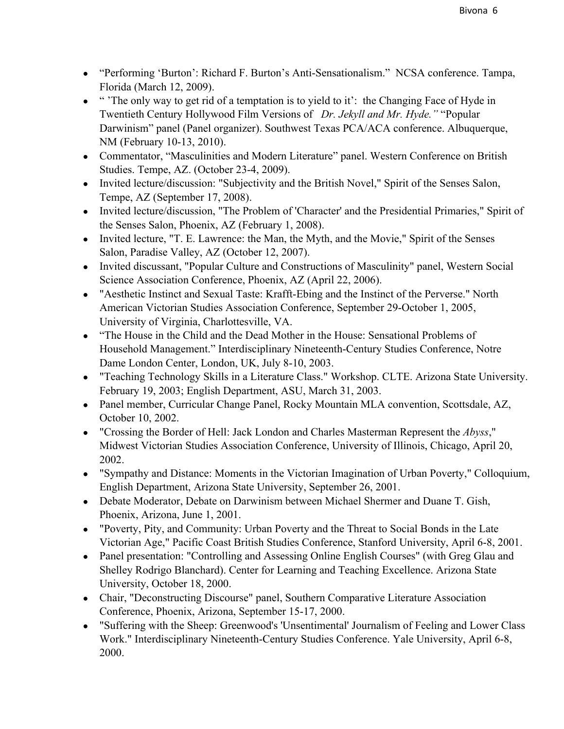- "Performing 'Burton': Richard F. Burton's Anti-Sensationalism." NCSA conference. Tampa, Florida (March 12, 2009).
- "The only way to get rid of a temptation is to yield to it': the Changing Face of Hyde in Twentieth Century Hollywood Film Versions of *Dr. Jekyll and Mr. Hyde."* "Popular Darwinism" panel (Panel organizer). Southwest Texas PCA/ACA conference. Albuquerque, NM (February 10-13, 2010).
- Commentator, "Masculinities and Modern Literature" panel. Western Conference on British Studies. Tempe, AZ. (October 23-4, 2009).
- Invited lecture/discussion: "Subjectivity and the British Novel," Spirit of the Senses Salon, Tempe, AZ (September 17, 2008).
- Invited lecture/discussion, "The Problem of 'Character' and the Presidential Primaries," Spirit of the Senses Salon, Phoenix, AZ (February 1, 2008).
- Invited lecture, "T. E. Lawrence: the Man, the Myth, and the Movie," Spirit of the Senses Salon, Paradise Valley, AZ (October 12, 2007).
- Invited discussant, "Popular Culture and Constructions of Masculinity" panel, Western Social Science Association Conference, Phoenix, AZ (April 22, 2006).
- "Aesthetic Instinct and Sexual Taste: Krafft-Ebing and the Instinct of the Perverse." North American Victorian Studies Association Conference, September 29-October 1, 2005, University of Virginia, Charlottesville, VA.
- "The House in the Child and the Dead Mother in the House: Sensational Problems of Household Management." Interdisciplinary Nineteenth-Century Studies Conference, Notre Dame London Center, London, UK, July 8-10, 2003.
- "Teaching Technology Skills in a Literature Class." Workshop. CLTE. Arizona State University. February 19, 2003; English Department, ASU, March 31, 2003.
- Panel member, Curricular Change Panel, Rocky Mountain MLA convention, Scottsdale, AZ, October 10, 2002.
- "Crossing the Border of Hell: Jack London and Charles Masterman Represent the *Abyss*," Midwest Victorian Studies Association Conference, University of Illinois, Chicago, April 20, 2002.
- "Sympathy and Distance: Moments in the Victorian Imagination of Urban Poverty," Colloquium, English Department, Arizona State University, September 26, 2001.
- Debate Moderator, Debate on Darwinism between Michael Shermer and Duane T. Gish, Phoenix, Arizona, June 1, 2001.
- "Poverty, Pity, and Community: Urban Poverty and the Threat to Social Bonds in the Late Victorian Age," Pacific Coast British Studies Conference, Stanford University, April 6-8, 2001.
- Panel presentation: "Controlling and Assessing Online English Courses" (with Greg Glau and Shelley Rodrigo Blanchard). Center for Learning and Teaching Excellence. Arizona State University, October 18, 2000.
- Chair, "Deconstructing Discourse" panel, Southern Comparative Literature Association Conference, Phoenix, Arizona, September 15-17, 2000.
- "Suffering with the Sheep: Greenwood's 'Unsentimental' Journalism of Feeling and Lower Class Work." Interdisciplinary Nineteenth-Century Studies Conference. Yale University, April 6-8, 2000.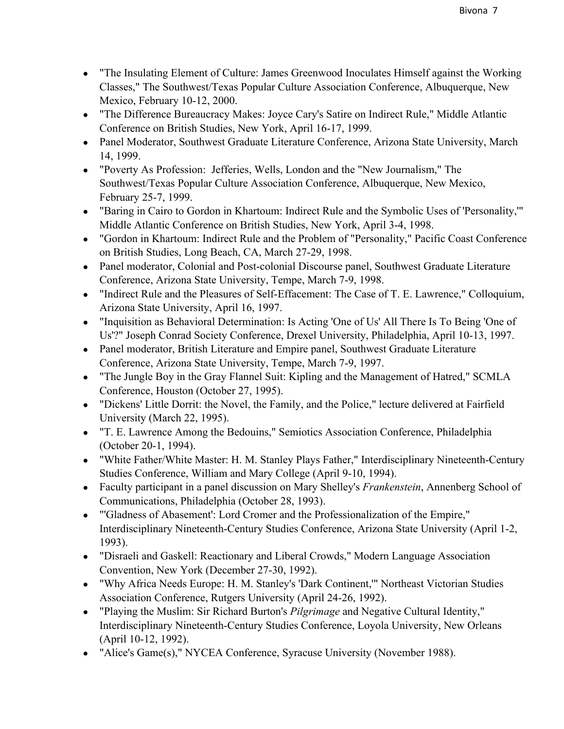- "The Insulating Element of Culture: James Greenwood Inoculates Himself against the Working Classes," The Southwest/Texas Popular Culture Association Conference, Albuquerque, New Mexico, February 10-12, 2000.
- "The Difference Bureaucracy Makes: Joyce Cary's Satire on Indirect Rule," Middle Atlantic Conference on British Studies, New York, April 16-17, 1999.
- Panel Moderator, Southwest Graduate Literature Conference, Arizona State University, March 14, 1999.
- "Poverty As Profession: Jefferies, Wells, London and the "New Journalism," The Southwest/Texas Popular Culture Association Conference, Albuquerque, New Mexico, February 25-7, 1999.
- "Baring in Cairo to Gordon in Khartoum: Indirect Rule and the Symbolic Uses of 'Personality,'" Middle Atlantic Conference on British Studies, New York, April 3-4, 1998.
- "Gordon in Khartoum: Indirect Rule and the Problem of "Personality," Pacific Coast Conference on British Studies, Long Beach, CA, March 27-29, 1998.
- Panel moderator, Colonial and Post-colonial Discourse panel, Southwest Graduate Literature Conference, Arizona State University, Tempe, March 7-9, 1998.
- "Indirect Rule and the Pleasures of Self-Effacement: The Case of T. E. Lawrence," Colloquium, Arizona State University, April 16, 1997.
- "Inquisition as Behavioral Determination: Is Acting 'One of Us' All There Is To Being 'One of Us'?" Joseph Conrad Society Conference, Drexel University, Philadelphia, April 10-13, 1997.
- Panel moderator, British Literature and Empire panel, Southwest Graduate Literature Conference, Arizona State University, Tempe, March 7-9, 1997.
- "The Jungle Boy in the Gray Flannel Suit: Kipling and the Management of Hatred," SCMLA Conference, Houston (October 27, 1995).
- "Dickens' Little Dorrit: the Novel, the Family, and the Police," lecture delivered at Fairfield University (March 22, 1995).
- "T. E. Lawrence Among the Bedouins," Semiotics Association Conference, Philadelphia (October 20-1, 1994).
- "White Father/White Master: H. M. Stanley Plays Father," Interdisciplinary Nineteenth-Century Studies Conference, William and Mary College (April 9-10, 1994).
- Faculty participant in a panel discussion on Mary Shelley's *Frankenstein*, Annenberg School of Communications, Philadelphia (October 28, 1993).
- "'Gladness of Abasement': Lord Cromer and the Professionalization of the Empire," Interdisciplinary Nineteenth-Century Studies Conference, Arizona State University (April 1-2, 1993).
- "Disraeli and Gaskell: Reactionary and Liberal Crowds," Modern Language Association Convention, New York (December 27-30, 1992).
- "Why Africa Needs Europe: H. M. Stanley's 'Dark Continent,'" Northeast Victorian Studies Association Conference, Rutgers University (April 24-26, 1992).
- "Playing the Muslim: Sir Richard Burton's *Pilgrimage* and Negative Cultural Identity," Interdisciplinary Nineteenth-Century Studies Conference, Loyola University, New Orleans (April 10-12, 1992).
- "Alice's Game(s)," NYCEA Conference, Syracuse University (November 1988).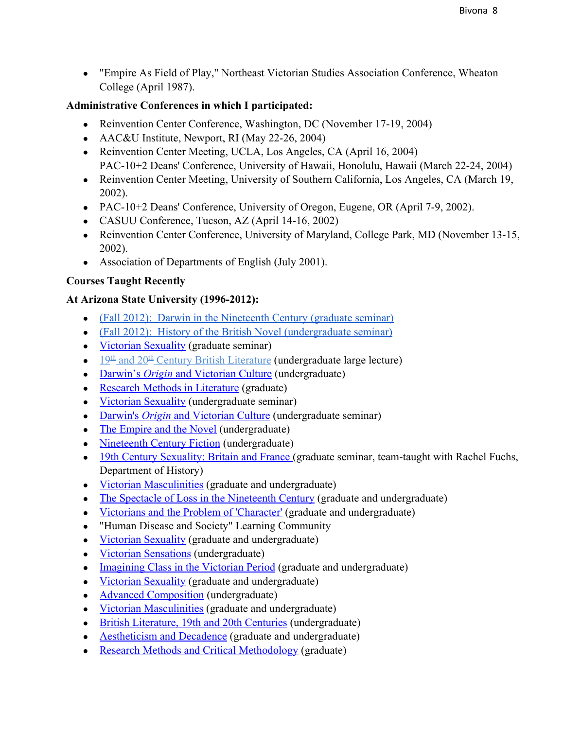● "Empire As Field of Play," Northeast Victorian Studies Association Conference, Wheaton College (April 1987).

# **Administrative Conferences in which I participated:**

- Reinvention Center Conference, Washington, DC (November 17-19, 2004)
- AAC&U Institute, Newport, RI (May 22-26, 2004)
- Reinvention Center Meeting, UCLA, Los Angeles, CA (April 16, 2004) PAC-10+2 Deans' Conference, University of Hawaii, Honolulu, Hawaii (March 22-24, 2004)
- Reinvention Center Meeting, University of Southern California, Los Angeles, CA (March 19, 2002).
- PAC-10+2 Deans' Conference, University of Oregon, Eugene, OR (April 7-9, 2002).
- CASUU Conference, Tucson, AZ (April 14-16, 2002)
- Reinvention Center Conference, University of Maryland, College Park, MD (November 13-15, 2002).
- Association of Departments of English (July 2001).

# **Courses Taught Recently**

# At **Arizona** State University (1996-2012):

- (Fall 2012): Darwin in the [Nineteenth](http://www.google.com/url?q=http%3A%2F%2Fwww.public.asu.edu%2F~dbivona%2F604F12syl.html&sa=D&sntz=1&usg=AFQjCNHKZO3CMeRBedlZTv8OBILNFa8TSQ) Century (graduate seminar)
- (Fall 2012): History of the British Novel [\(undergraduate](http://www.google.com/url?q=http%3A%2F%2Fwww.public.asu.edu%2F~dbivona%2F452F12syl.html&sa=D&sntz=1&usg=AFQjCNGfAqP4iP1O2mvNtT6oKAHC2iMwhw) seminar)
- Victorian [Sexuality](http://www.google.com/url?q=http%3A%2F%2Fwww.public.asu.edu%2F~dbivona%2F635S10syl.htm&sa=D&sntz=1&usg=AFQjCNExNMUP5phrHVIQKeWWB2i9bowuRg) (graduate seminar)
- $\bullet$  [19](http://www.google.com/url?q=http%3A%2F%2Fwww.public.asu.edu%2F~dbivona%2F222S10syl.htm&sa=D&sntz=1&usg=AFQjCNGtMNyrZalUI9WJkE3K3k_IrnaZZA)<sup>[th](http://www.google.com/url?q=http%3A%2F%2Fwww.public.asu.edu%2F~dbivona%2F222S10syl.htm&sa=D&sntz=1&usg=AFQjCNGtMNyrZalUI9WJkE3K3k_IrnaZZA)</sup> [and](http://www.google.com/url?q=http%3A%2F%2Fwww.public.asu.edu%2F~dbivona%2F222S10syl.htm&sa=D&sntz=1&usg=AFQjCNGtMNyrZalUI9WJkE3K3k_IrnaZZA) 20<sup>th</sup> Century British [Literature](http://www.google.com/url?q=http%3A%2F%2Fwww.public.asu.edu%2F~dbivona%2F222S10syl.htm&sa=D&sntz=1&usg=AFQjCNGtMNyrZalUI9WJkE3K3k_IrnaZZA) (undergraduate large lecture)
- [Darwin's](http://www.google.com/url?q=http%3A%2F%2Fwww.public.asu.edu%2F~dbivona%2F430F10syl.html&sa=D&sntz=1&usg=AFQjCNGgqAa2L1ufR05ozbWcrSDxFBI__w) *[Origin](http://www.google.com/url?q=http%3A%2F%2Fwww.public.asu.edu%2F~dbivona%2F430F10syl.html&sa=D&sntz=1&usg=AFQjCNGgqAa2L1ufR05ozbWcrSDxFBI__w)* and [Victorian](http://www.google.com/url?q=http%3A%2F%2Fwww.public.asu.edu%2F~dbivona%2F430F10syl.html&sa=D&sntz=1&usg=AFQjCNGgqAa2L1ufR05ozbWcrSDxFBI__w) Culture (undergraduate)
- Research Methods in [Literature](http://www.google.com/url?q=http%3A%2F%2Fwww.public.asu.edu%2F~dbivona%2F500F10syl.html&sa=D&sntz=1&usg=AFQjCNHRadqci7f5lUPXqMJML6uQ11eUyg) (graduate)
- Victorian [Sexuality](http://www.google.com/url?q=http%3A%2F%2Fwww.public.asu.edu%2F~dbivona%2F430F09syl.htm&sa=D&sntz=1&usg=AFQjCNGSC8mim70VxUZz1WPFnYtLn4_gcw) (undergraduate seminar)
- [Darwin's](http://www.google.com/url?q=http%3A%2F%2Fwww.public.asu.edu%2F~dbivona%2F430S09syl.htm&sa=D&sntz=1&usg=AFQjCNFYSepjB7V7so9G8wAWkZtPfYIH3A) *[Origin](http://www.google.com/url?q=http%3A%2F%2Fwww.public.asu.edu%2F~dbivona%2F430S09syl.htm&sa=D&sntz=1&usg=AFQjCNFYSepjB7V7so9G8wAWkZtPfYIH3A)* and [Victorian](http://www.google.com/url?q=http%3A%2F%2Fwww.public.asu.edu%2F~dbivona%2F430S09syl.htm&sa=D&sntz=1&usg=AFQjCNFYSepjB7V7so9G8wAWkZtPfYIH3A) Culture (undergraduate seminar)
- The [Empire](http://www.google.com/url?q=http%3A%2F%2Fwww.public.asu.edu%2F%257Edbivona%2F452F07syl.htm&sa=D&sntz=1&usg=AFQjCNHyDYHWaT6JEtCY0gPfGJcx1KYfkw) and the Novel (undergraduate)
- [Nineteenth](http://www.google.com/url?q=http%3A%2F%2Fwww.public.asu.edu%2F%257Edbivona%2F329F07syl.htm&sa=D&sntz=1&usg=AFQjCNGOdMmGtMz3MLrbX_CUm7Q0PcuFvw) Century Fiction (undergraduate)
- 19th Century [Sexuality:](http://www.google.com/url?q=http%3A%2F%2Fwww.public.asu.edu%2F%257Edbivona%2F604S07syl.html&sa=D&sntz=1&usg=AFQjCNHAYLJOsg2a9silQrVu9mYmvV1dCA) Britain and France (graduate seminar, team-taught with Rachel Fuchs, Department of History)
- Victorian [Masculinities](http://www.google.com/url?q=http%3A%2F%2Fwww.public.asu.edu%2F~dbivona%2F430S06syl.html&sa=D&sntz=1&usg=AFQjCNGTtlgwXHxBX2xWU6Rr-XBp00E6Lg) (graduate and undergraduate)
- The Spectacle of Loss in the [Nineteenth](http://www.google.com/url?q=http%3A%2F%2Fwww.public.asu.edu%2F%257Edbivona%2F430S05syl.html&sa=D&sntz=1&usg=AFQjCNFe6qsFJ0OSwc2moRFZlGLAsEMG_Q) Century (graduate and undergraduate)
- [Victorians](http://www.google.com/url?q=http%3A%2F%2Fwww.public.asu.edu%2F%257Ecajsa%2Fvictoriancharacter.html&sa=D&sntz=1&usg=AFQjCNGuq6VbB_DZtpB4k7fYpx6CvbElHQ) and the Problem of 'Character' (graduate and undergraduate)
- "Human Disease and Society" Learning Community
- Victorian [Sexuality](http://www.google.com/url?q=http%3A%2F%2Fwww.public.asu.edu%2F%257Edantonio%2Fvictorian03%2F&sa=D&sntz=1&usg=AFQjCNEkXW9rZUeRhbW7bbd2KYUDScZUyg) (graduate and undergraduate)
- Victorian [Sensations](http://www.google.com/url?q=http%3A%2F%2Fwww.public.asu.edu%2F%257Ecajsa%2Fsensation&sa=D&sntz=1&usg=AFQjCNFS7so1XIjIfjXIN42l1UkWRRavJg) (undergraduate)
- [Imagining](http://www.google.com/url?q=http%3A%2F%2Fwww.public.asu.edu%2F%257Edbivona%2FClassFrame.html&sa=D&sntz=1&usg=AFQjCNGc9KlSqbmOPGG4Bs-dUEqoMcv3Dw) Class in the Victorian Period (graduate and undergraduate)
- Victorian [Sexuality](http://www.google.com/url?q=http%3A%2F%2Fwww.public.asu.edu%2F%257Edbivona%2F430S01Frame-4.html&sa=D&sntz=1&usg=AFQjCNEfvAouc0sskiu9trO8Y50XG2q9NQ) (graduate and undergraduate)
- Advanced [Composition](http://www.google.com/url?q=http%3A%2F%2Fwww.public.asu.edu%2F%257Edbivona%2F105sylF99.html&sa=D&sntz=1&usg=AFQjCNHhUSjQOmbTJB0uupFYhUcMOelpkw) (undergraduate)
- Victorian [Masculinities](http://www.google.com/url?q=http%3A%2F%2Fwww.public.asu.edu%2F~dbivona%2F43099syl.html&sa=D&sntz=1&usg=AFQjCNHFZGpFVNAfjtArigVoR6naHWnqAg) (graduate and undergraduate)
- British [Literature,](http://www.google.com/url?q=http%3A%2F%2Fwww.public.asu.edu%2F~dbivona%2F22299syl.html&sa=D&sntz=1&usg=AFQjCNFQNi_sncMvcxW4zIRDSoi5C2lq8g) 19th and 20th Centuries (undergraduate)
- [Aestheticism](http://www.google.com/url?q=http%3A%2F%2Fwww.public.asu.edu%2F~dbivona%2F430syl.html&sa=D&sntz=1&usg=AFQjCNE29xnpQk_WooFVdNgmuFX4Z_k78Q) and Decadence (graduate and undergraduate)
- Research Methods and Critical [Methodology](http://www.google.com/url?q=http%3A%2F%2Fwww.public.asu.edu%2F~dbivona%2F500syl.html&sa=D&sntz=1&usg=AFQjCNHxUEUBvN8gwiVphiMD2ouVj1xuSA) (graduate)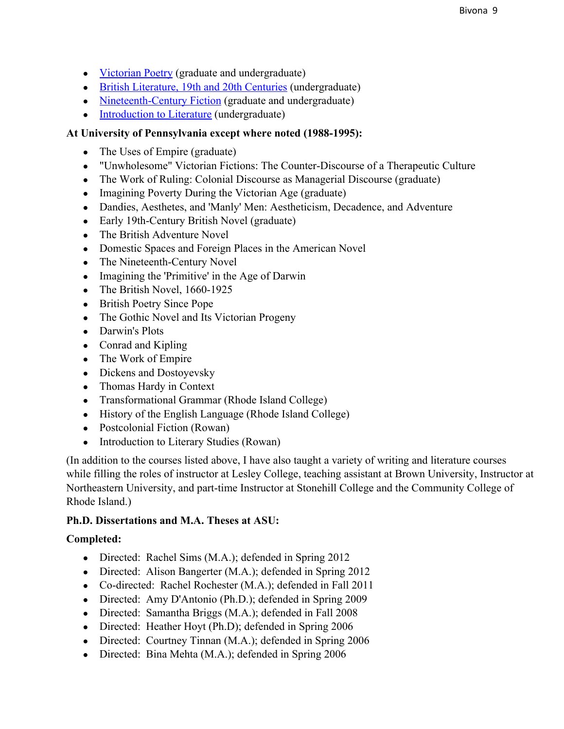- [Victorian](http://www.google.com/url?q=http%3A%2F%2Fwww.public.asu.edu%2F~dbivona%2F426syl.html&sa=D&sntz=1&usg=AFQjCNH2VDUm8Z9YtRsg_hH9NLMaqeTgSQ) Poetry (graduate and undergraduate)
- British [Literature,](http://www.google.com/url?q=http%3A%2F%2Fwww.public.asu.edu%2F~dbivona%2F222syl.html&sa=D&sntz=1&usg=AFQjCNG3kyxnZJzY62jlAbthUOyhR4ZgbQ) 19th and 20th Centuries (undergraduate)
- Nineteenth-Century Fiction (graduate and undergraduate)
- [Introduction](http://www.google.com/url?q=http%3A%2F%2Fwww.public.asu.edu%2F~dbivona%2F200syl.html&sa=D&sntz=1&usg=AFQjCNFGUN1YYb6AIQkOGjVx-zMoYl0Prw) to Literature (undergraduate)

### **At University of Pennsylvania except where noted (19881995):**

- The Uses of Empire (graduate)
- "Unwholesome" Victorian Fictions: The Counter-Discourse of a Therapeutic Culture
- The Work of Ruling: Colonial Discourse as Managerial Discourse (graduate)
- Imagining Poverty During the Victorian Age (graduate)
- Dandies, Aesthetes, and 'Manly' Men: Aestheticism, Decadence, and Adventure
- Early 19th-Century British Novel (graduate)
- The British Adventure Novel
- Domestic Spaces and Foreign Places in the American Novel
- The Nineteenth-Century Novel
- Imagining the 'Primitive' in the Age of Darwin
- The British Novel,  $1660-1925$
- British Poetry Since Pope
- The Gothic Novel and Its Victorian Progeny
- Darwin's Plots
- Conrad and Kipling
- The Work of Empire
- Dickens and Dostoyevsky
- Thomas Hardy in Context
- Transformational Grammar (Rhode Island College)
- History of the English Language (Rhode Island College)
- Postcolonial Fiction (Rowan)
- Introduction to Literary Studies (Rowan)

(In addition to the courses listed above, I have also taught a variety of writing and literature courses while filling the roles of instructor at Lesley College, teaching assistant at Brown University, Instructor at Northeastern University, and part-time Instructor at Stonehill College and the Community College of Rhode Island.)

### **Ph.D. Dissertations and M.A. Theses at ASU:**

### **Completed:**

- Directed: Rachel Sims (M.A.); defended in Spring 2012
- Directed: Alison Bangerter (M.A.); defended in Spring 2012
- Co-directed: Rachel Rochester (M.A.); defended in Fall 2011
- Directed: Amy D'Antonio (Ph.D.); defended in Spring 2009
- Directed: Samantha Briggs (M.A.); defended in Fall 2008
- Directed: Heather Hoyt (Ph.D); defended in Spring 2006
- Directed: Courtney Tinnan (M.A.); defended in Spring 2006
- Directed: Bina Mehta (M.A.); defended in Spring 2006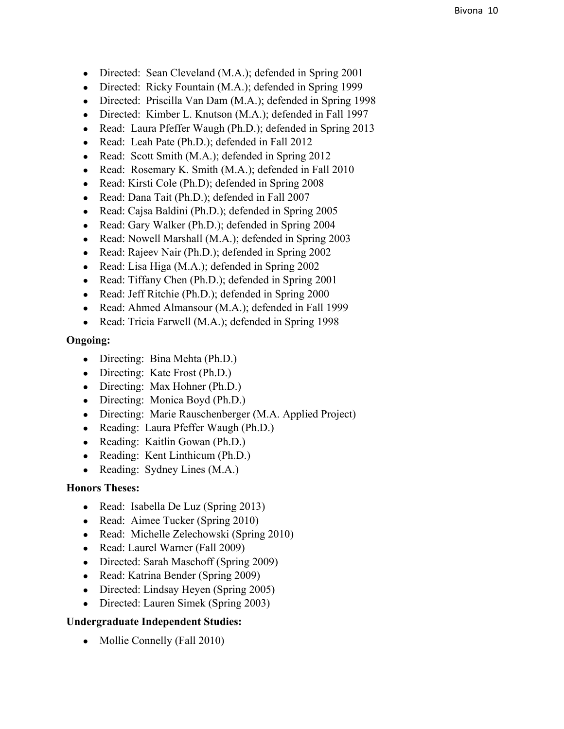- Directed: Sean Cleveland (M.A.); defended in Spring 2001
- Directed: Ricky Fountain (M.A.); defended in Spring 1999
- Directed: Priscilla Van Dam (M.A.); defended in Spring 1998
- Directed: Kimber L. Knutson (M.A.); defended in Fall 1997
- Read: Laura Pfeffer Waugh (Ph.D.); defended in Spring 2013
- Read: Leah Pate (Ph.D.); defended in Fall 2012
- Read: Scott Smith (M.A.); defended in Spring 2012
- Read: Rosemary K. Smith (M.A.); defended in Fall 2010
- Read: Kirsti Cole (Ph.D); defended in Spring 2008
- Read: Dana Tait (Ph.D.); defended in Fall 2007
- Read: Cajsa Baldini (Ph.D.); defended in Spring 2005
- Read: Gary Walker (Ph.D.); defended in Spring 2004
- Read: Nowell Marshall (M.A.); defended in Spring 2003
- Read: Rajeev Nair (Ph.D.); defended in Spring 2002
- Read: Lisa Higa (M.A.); defended in Spring 2002
- Read: Tiffany Chen (Ph.D.); defended in Spring 2001
- Read: Jeff Ritchie (Ph.D.); defended in Spring 2000
- Read: Ahmed Almansour (M.A.); defended in Fall 1999
- Read: Tricia Farwell (M.A.); defended in Spring 1998

### **Ongoing:**

- Directing: Bina Mehta (Ph.D.)
- Directing: Kate Frost (Ph.D.)
- Directing: Max Hohner (Ph.D.)
- Directing: Monica Boyd (Ph.D.)
- Directing: Marie Rauschenberger (M.A. Applied Project)
- Reading: Laura Pfeffer Waugh (Ph.D.)
- Reading: Kaitlin Gowan (Ph.D.)
- Reading: Kent Linthicum (Ph.D.)
- Reading: Sydney Lines  $(M.A.)$

### **Honors Theses:**

- Read: Isabella De Luz (Spring 2013)
- Read: Aimee Tucker (Spring 2010)
- Read: Michelle Zelechowski (Spring 2010)
- Read: Laurel Warner (Fall 2009)
- Directed: Sarah Maschoff (Spring 2009)
- Read: Katrina Bender (Spring 2009)
- Directed: Lindsay Heyen (Spring 2005)
- Directed: Lauren Simek (Spring 2003)

### **Undergraduate Independent Studies:**

• Mollie Connelly (Fall 2010)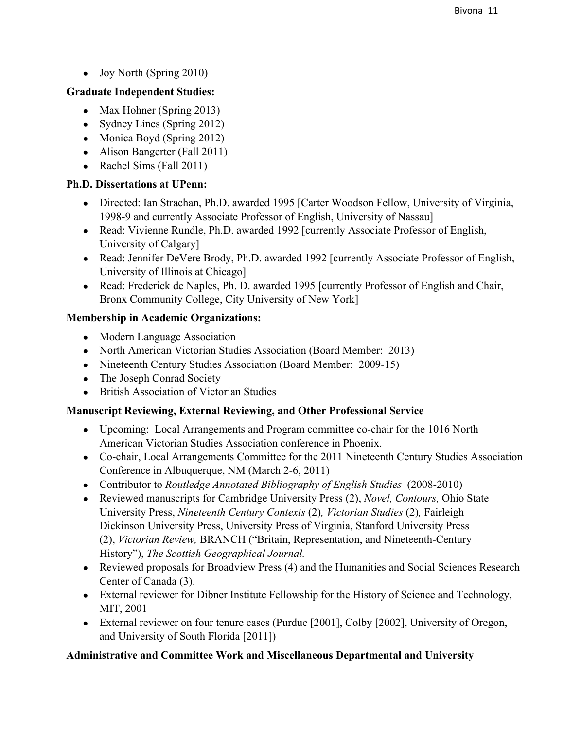• Joy North (Spring 2010)

## **Graduate Independent Studies:**

- Max Hohner (Spring 2013)
- Sydney Lines (Spring 2012)
- Monica Boyd (Spring 2012)
- Alison Bangerter (Fall 2011)
- Rachel Sims (Fall  $2011$ )

### **Ph.D. Dissertations at UPenn:**

- Directed: Ian Strachan, Ph.D. awarded 1995 [Carter Woodson Fellow, University of Virginia, 1998-9 and currently Associate Professor of English, University of Nassau]
- Read: Vivienne Rundle, Ph.D. awarded 1992 [currently Associate Professor of English, University of Calgary]
- Read: Jennifer DeVere Brody, Ph.D. awarded 1992 [currently Associate Professor of English, University of Illinois at Chicago]
- Read: Frederick de Naples, Ph. D. awarded 1995 [currently Professor of English and Chair, Bronx Community College, City University of New York]

### **Membership in Academic Organizations:**

- Modern Language Association
- North American Victorian Studies Association (Board Member: 2013)
- Nineteenth Century Studies Association (Board Member: 2009-15)
- The Joseph Conrad Society
- British Association of Victorian Studies

### **Manuscript Reviewing, External Reviewing, and Other Professional Service**

- Upcoming: Local Arrangements and Program committee co-chair for the 1016 North American Victorian Studies Association conference in Phoenix.
- Cochair, Local Arrangements Committee for the 2011 Nineteenth Century Studies Association Conference in Albuquerque, NM (March 2-6, 2011)
- Contributor to *Routledge Annotated Bibliography of English Studies* (2008-2010)
- Reviewed manuscripts for Cambridge University Press (2), *Novel, Contours,* Ohio State University Press, *Nineteenth Century Contexts* (2)*, Victorian Studies* (2)*,* Fairleigh Dickinson University Press, University Press of Virginia, Stanford University Press (2), *Victorian Review, BRANCH* ("Britain, Representation, and Nineteenth-Century History"), *The Scottish Geographical Journal.*
- Reviewed proposals for Broadview Press (4) and the Humanities and Social Sciences Research Center of Canada (3).
- External reviewer for Dibner Institute Fellowship for the History of Science and Technology, MIT, 2001
- External reviewer on four tenure cases (Purdue [2001], Colby [2002], University of Oregon, and University of South Florida [2011])

# **Administrative and Committee Work and Miscellaneous Departmental and University**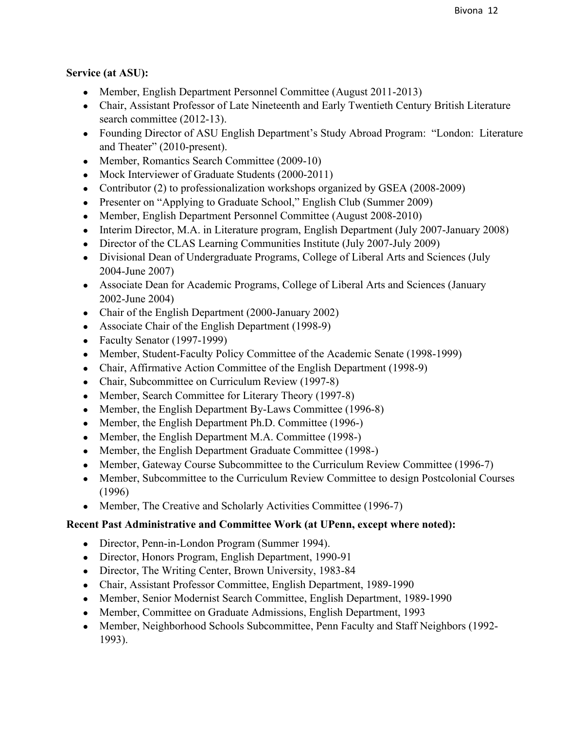# **Service (at ASU):**

- Member, English Department Personnel Committee (August 2011-2013)
- Chair, Assistant Professor of Late Nineteenth and Early Twentieth Century British Literature search committee (2012-13).
- Founding Director of ASU English Department's Study Abroad Program: "London: Literature and Theater" (2010-present).
- Member, Romantics Search Committee (2009-10)
- Mock Interviewer of Graduate Students (2000-2011)
- Contributor (2) to professionalization workshops organized by GSEA (2008-2009)
- Presenter on "Applying to Graduate School," English Club (Summer 2009)
- Member, English Department Personnel Committee (August 2008-2010)
- Interim Director, M.A. in Literature program, English Department (July 2007-January 2008)
- Director of the CLAS Learning Communities Institute (July 2007-July 2009)
- Divisional Dean of Undergraduate Programs, College of Liberal Arts and Sciences (July 2004-June 2007)
- Associate Dean for Academic Programs, College of Liberal Arts and Sciences (January 2002-June 2004)
- Chair of the English Department  $(2000)$ -January 2002)
- Associate Chair of the English Department (1998-9)
- Faculty Senator  $(1997-1999)$
- Member, Student-Faculty Policy Committee of the Academic Senate (1998-1999)
- Chair, Affirmative Action Committee of the English Department (1998-9)
- Chair, Subcommittee on Curriculum Review (1997-8)
- Member, Search Committee for Literary Theory (1997-8)
- Member, the English Department By-Laws Committee (1996-8)
- Member, the English Department Ph.D. Committee (1996-)
- Member, the English Department M.A. Committee (1998-)
- Member, the English Department Graduate Committee (1998-)
- Member, Gateway Course Subcommittee to the Curriculum Review Committee (1996-7)
- Member, Subcommittee to the Curriculum Review Committee to design Postcolonial Courses (1996)
- Member, The Creative and Scholarly Activities Committee (1996-7)

# **Recent Past Administrative and Committee Work (at UPenn, except where noted):**

- Director, Penn-in-London Program (Summer 1994).
- Director, Honors Program, English Department, 1990-91
- Director, The Writing Center, Brown University, 1983-84
- Chair, Assistant Professor Committee, English Department, 1989-1990
- Member, Senior Modernist Search Committee, English Department, 1989-1990
- Member, Committee on Graduate Admissions, English Department, 1993
- Member, Neighborhood Schools Subcommittee, Penn Faculty and Staff Neighbors (1992– 1993).